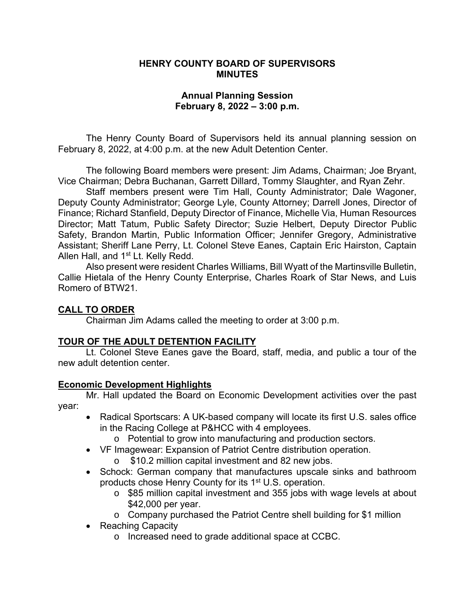#### **HENRY COUNTY BOARD OF SUPERVISORS MINUTES**

#### **Annual Planning Session February 8, 2022 – 3:00 p.m.**

 The Henry County Board of Supervisors held its annual planning session on February 8, 2022, at 4:00 p.m. at the new Adult Detention Center.

The following Board members were present: Jim Adams, Chairman; Joe Bryant, Vice Chairman; Debra Buchanan, Garrett Dillard, Tommy Slaughter, and Ryan Zehr.

 Staff members present were Tim Hall, County Administrator; Dale Wagoner, Deputy County Administrator; George Lyle, County Attorney; Darrell Jones, Director of Finance; Richard Stanfield, Deputy Director of Finance, Michelle Via, Human Resources Director; Matt Tatum, Public Safety Director; Suzie Helbert, Deputy Director Public Safety, Brandon Martin, Public Information Officer; Jennifer Gregory, Administrative Assistant; Sheriff Lane Perry, Lt. Colonel Steve Eanes, Captain Eric Hairston, Captain Allen Hall, and 1<sup>st</sup> Lt. Kelly Redd.

 Also present were resident Charles Williams, Bill Wyatt of the Martinsville Bulletin, Callie Hietala of the Henry County Enterprise, Charles Roark of Star News, and Luis Romero of BTW21.

### **CALL TO ORDER**

Chairman Jim Adams called the meeting to order at 3:00 p.m.

### **TOUR OF THE ADULT DETENTION FACILITY**

 Lt. Colonel Steve Eanes gave the Board, staff, media, and public a tour of the new adult detention center.

#### **Economic Development Highlights**

Mr. Hall updated the Board on Economic Development activities over the past year:

- Radical Sportscars: A UK-based company will locate its first U.S. sales office in the Racing College at P&HCC with 4 employees.
	- o Potential to grow into manufacturing and production sectors.
- VF Imagewear: Expansion of Patriot Centre distribution operation.
	- o \$10.2 million capital investment and 82 new jobs.
- Schock: German company that manufactures upscale sinks and bathroom products chose Henry County for its 1<sup>st</sup> U.S. operation.
	- o \$85 million capital investment and 355 jobs with wage levels at about \$42,000 per year.
	- o Company purchased the Patriot Centre shell building for \$1 million
- Reaching Capacity
	- o Increased need to grade additional space at CCBC.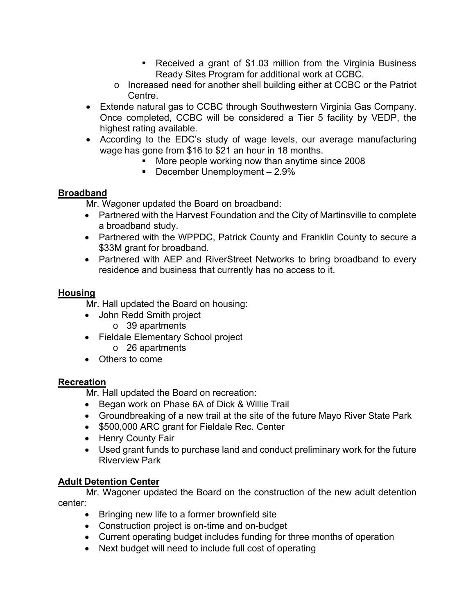- Received a grant of \$1.03 million from the Virginia Business Ready Sites Program for additional work at CCBC.
- o Increased need for another shell building either at CCBC or the Patriot Centre.
- Extende natural gas to CCBC through Southwestern Virginia Gas Company. Once completed, CCBC will be considered a Tier 5 facility by VEDP, the highest rating available.
- According to the EDC's study of wage levels, our average manufacturing wage has gone from \$16 to \$21 an hour in 18 months.
	- **More people working now than anytime since 2008**
	- December Unemployment  $-2.9\%$

### **Broadband**

Mr. Wagoner updated the Board on broadband:

- Partnered with the Harvest Foundation and the City of Martinsville to complete a broadband study.
- Partnered with the WPPDC, Patrick County and Franklin County to secure a \$33M grant for broadband.
- Partnered with AEP and RiverStreet Networks to bring broadband to every residence and business that currently has no access to it.

### **Housing**

Mr. Hall updated the Board on housing:

- John Redd Smith project
	- o 39 apartments
- Fieldale Elementary School project
	- o 26 apartments
- Others to come

### **Recreation**

Mr. Hall updated the Board on recreation:

- Began work on Phase 6A of Dick & Willie Trail
- Groundbreaking of a new trail at the site of the future Mayo River State Park
- \$500,000 ARC grant for Fieldale Rec. Center
- Henry County Fair
- Used grant funds to purchase land and conduct preliminary work for the future Riverview Park

## **Adult Detention Center**

Mr. Wagoner updated the Board on the construction of the new adult detention center:

- Bringing new life to a former brownfield site
- Construction project is on-time and on-budget
- Current operating budget includes funding for three months of operation
- Next budget will need to include full cost of operating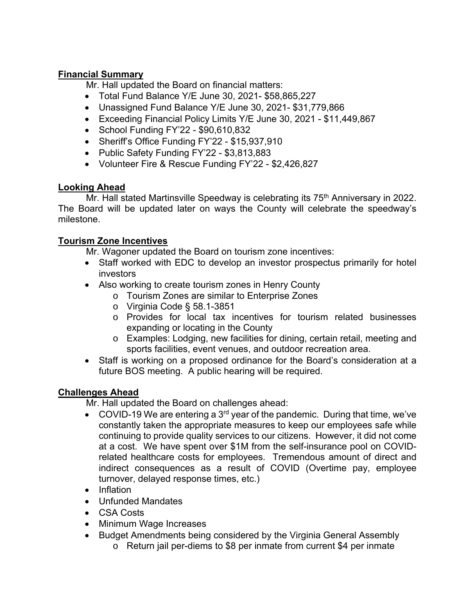## **Financial Summary**

Mr. Hall updated the Board on financial matters:

- Total Fund Balance Y/E June 30, 2021- \$58,865,227
- Unassigned Fund Balance Y/E June 30, 2021- \$31,779,866
- Exceeding Financial Policy Limits Y/E June 30, 2021 \$11,449,867
- School Funding FY'22 \$90,610,832
- Sheriff's Office Funding FY'22 \$15,937,910
- Public Safety Funding FY'22 \$3,813,883
- Volunteer Fire & Rescue Funding FY'22 \$2,426,827

## **Looking Ahead**

Mr. Hall stated Martinsville Speedway is celebrating its 75<sup>th</sup> Anniversary in 2022. The Board will be updated later on ways the County will celebrate the speedway's milestone.

## **Tourism Zone Incentives**

Mr. Wagoner updated the Board on tourism zone incentives:

- Staff worked with EDC to develop an investor prospectus primarily for hotel investors
- Also working to create tourism zones in Henry County
	- o Tourism Zones are similar to Enterprise Zones
	- o Virginia Code § 58.1-3851
	- o Provides for local tax incentives for tourism related businesses expanding or locating in the County
	- o Examples: Lodging, new facilities for dining, certain retail, meeting and sports facilities, event venues, and outdoor recreation area.
- Staff is working on a proposed ordinance for the Board's consideration at a future BOS meeting. A public hearing will be required.

# **Challenges Ahead**

Mr. Hall updated the Board on challenges ahead:

- COVID-19 We are entering a 3<sup>rd</sup> year of the pandemic. During that time, we've constantly taken the appropriate measures to keep our employees safe while continuing to provide quality services to our citizens. However, it did not come at a cost. We have spent over \$1M from the self-insurance pool on COVIDrelated healthcare costs for employees. Tremendous amount of direct and indirect consequences as a result of COVID (Overtime pay, employee turnover, delayed response times, etc.)
- Inflation
- Unfunded Mandates
- CSA Costs
- Minimum Wage Increases
- Budget Amendments being considered by the Virginia General Assembly
	- o Return jail per-diems to \$8 per inmate from current \$4 per inmate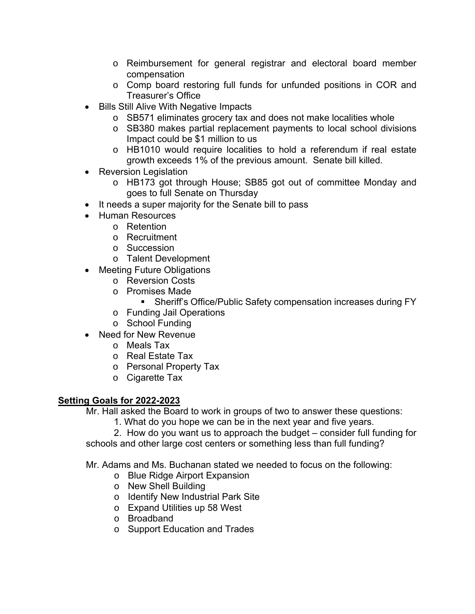- o Reimbursement for general registrar and electoral board member compensation
- o Comp board restoring full funds for unfunded positions in COR and Treasurer's Office
- Bills Still Alive With Negative Impacts
	- o SB571 eliminates grocery tax and does not make localities whole
	- o SB380 makes partial replacement payments to local school divisions Impact could be \$1 million to us
	- o HB1010 would require localities to hold a referendum if real estate growth exceeds 1% of the previous amount. Senate bill killed.
- Reversion Legislation
	- o HB173 got through House; SB85 got out of committee Monday and goes to full Senate on Thursday
- It needs a super majority for the Senate bill to pass
- Human Resources
	- o Retention
		- o Recruitment
		- o Succession
		- o Talent Development
- Meeting Future Obligations
	- o Reversion Costs
	- o Promises Made
		- Sheriff's Office/Public Safety compensation increases during FY
	- o Funding Jail Operations
	- o School Funding
- Need for New Revenue
	- o Meals Tax
	- o Real Estate Tax
	- o Personal Property Tax
	- o Cigarette Tax

### **Setting Goals for 2022-2023**

Mr. Hall asked the Board to work in groups of two to answer these questions:

1. What do you hope we can be in the next year and five years.

2. How do you want us to approach the budget – consider full funding for schools and other large cost centers or something less than full funding?

Mr. Adams and Ms. Buchanan stated we needed to focus on the following:

- o Blue Ridge Airport Expansion
- o New Shell Building
- o Identify New Industrial Park Site
- o Expand Utilities up 58 West
- o Broadband
- o Support Education and Trades